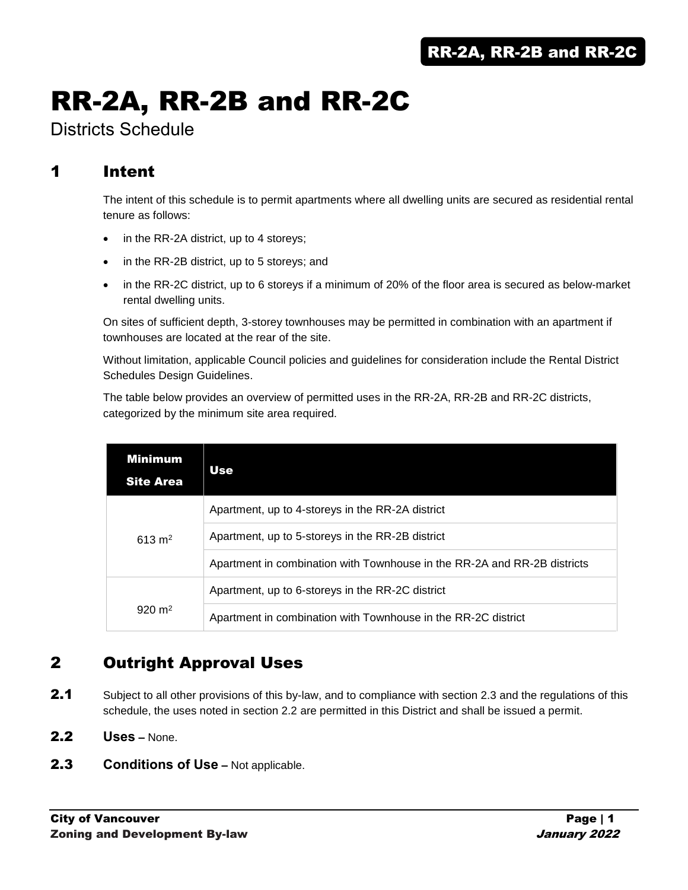# RR-2A, RR-2B and RR-2C

Districts Schedule

# 1 Intent

The intent of this schedule is to permit apartments where all dwelling units are secured as residential rental tenure as follows:

- in the RR-2A district, up to 4 storeys;
- in the RR-2B district, up to 5 storeys; and
- in the RR-2C district, up to 6 storeys if a minimum of 20% of the floor area is secured as below-market rental dwelling units.

On sites of sufficient depth, 3-storey townhouses may be permitted in combination with an apartment if townhouses are located at the rear of the site.

Without limitation, applicable Council policies and guidelines for consideration include the Rental District Schedules Design Guidelines.

The table below provides an overview of permitted uses in the RR-2A, RR-2B and RR-2C districts, categorized by the minimum site area required.

| <b>Minimum</b><br><b>Site Area</b> | Use                                                                      |
|------------------------------------|--------------------------------------------------------------------------|
|                                    | Apartment, up to 4-storeys in the RR-2A district                         |
| $613 \text{ m}^2$                  | Apartment, up to 5-storeys in the RR-2B district                         |
|                                    | Apartment in combination with Townhouse in the RR-2A and RR-2B districts |
|                                    | Apartment, up to 6-storeys in the RR-2C district                         |
| $920 \text{ m}^2$                  | Apartment in combination with Townhouse in the RR-2C district            |

# 2 Outright Approval Uses

- 2.1 Subject to all other provisions of this by-law, and to compliance with section 2.3 and the regulations of this schedule, the uses noted in section 2.2 are permitted in this District and shall be issued a permit.
- 2.2 **Uses –** None.
- **2.3 Conditions of Use –** Not applicable.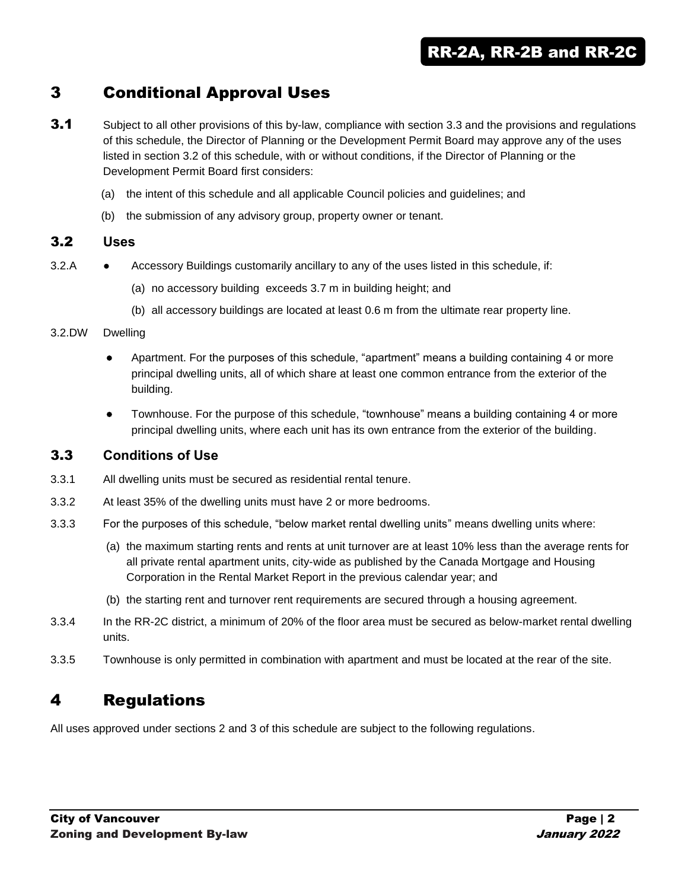# 3 Conditional Approval Uses

- **3.1** Subject to all other provisions of this by-law, compliance with section 3.3 and the provisions and regulations of this schedule, the Director of Planning or the Development Permit Board may approve any of the uses listed in section 3.2 of this schedule, with or without conditions, if the Director of Planning or the Development Permit Board first considers:
	- (a) the intent of this schedule and all applicable Council policies and guidelines; and
	- (b) the submission of any advisory group, property owner or tenant.

#### 3.2 **Uses**

- 3.2.A **•** Accessory Buildings customarily ancillary to any of the uses listed in this schedule, if:
	- (a) no accessory building exceeds 3.7 m in building height; and
	- (b) all accessory buildings are located at least 0.6 m from the ultimate rear property line.

#### 3.2.DW Dwelling

- Apartment. For the purposes of this schedule, "apartment" means a building containing 4 or more principal dwelling units, all of which share at least one common entrance from the exterior of the building.
- Townhouse. For the purpose of this schedule, "townhouse" means a building containing 4 or more principal dwelling units, where each unit has its own entrance from the exterior of the building.

## 3.3 **Conditions of Use**

- 3.3.1 All dwelling units must be secured as residential rental tenure.
- 3.3.2 At least 35% of the dwelling units must have 2 or more bedrooms.
- 3.3.3 For the purposes of this schedule, "below market rental dwelling units" means dwelling units where:
	- (a) the maximum starting rents and rents at unit turnover are at least 10% less than the average rents for all private rental apartment units, city-wide as published by the Canada Mortgage and Housing Corporation in the Rental Market Report in the previous calendar year; and
	- (b) the starting rent and turnover rent requirements are secured through a housing agreement.
- 3.3.4 In the RR-2C district, a minimum of 20% of the floor area must be secured as below-market rental dwelling units.
- 3.3.5 Townhouse is only permitted in combination with apartment and must be located at the rear of the site.

# 4 Regulations

All uses approved under sections 2 and 3 of this schedule are subject to the following regulations.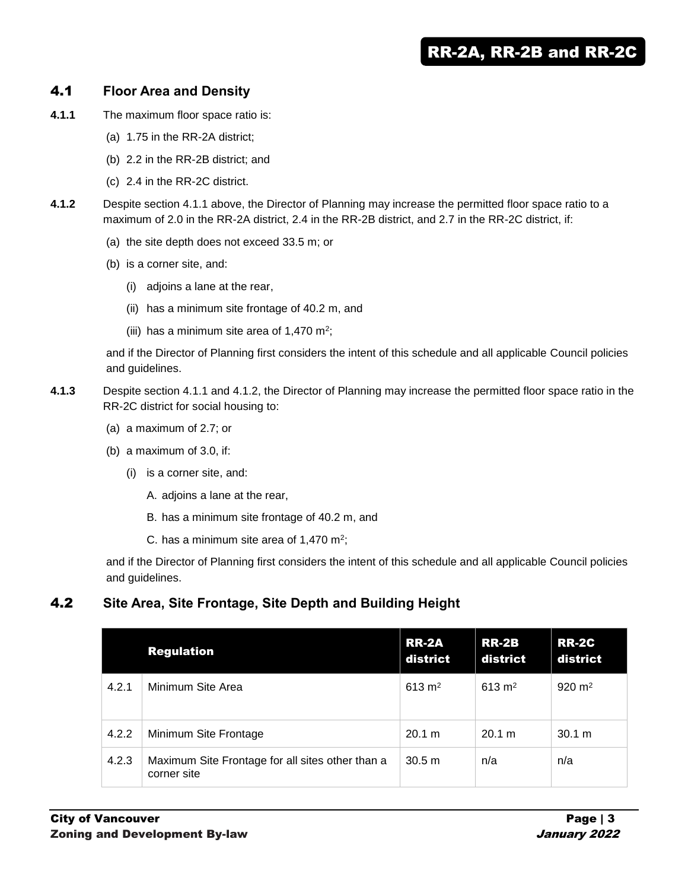# 4.1 **Floor Area and Density**

- **4.1.1** The maximum floor space ratio is:
	- (a) 1.75 in the RR-2A district;
	- (b) 2.2 in the RR-2B district; and
	- (c) 2.4 in the RR-2C district.
- **4.1.2** Despite section 4.1.1 above, the Director of Planning may increase the permitted floor space ratio to a maximum of 2.0 in the RR-2A district, 2.4 in the RR-2B district, and 2.7 in the RR-2C district, if:
	- (a) the site depth does not exceed 33.5 m; or
	- (b) is a corner site, and:
		- (i) adjoins a lane at the rear,
		- (ii) has a minimum site frontage of 40.2 m, and
		- (iii) has a minimum site area of 1,470 m<sup>2</sup>;

and if the Director of Planning first considers the intent of this schedule and all applicable Council policies and guidelines.

- **4.1.3** Despite section 4.1.1 and 4.1.2, the Director of Planning may increase the permitted floor space ratio in the RR-2C district for social housing to:
	- (a) a maximum of 2.7; or
	- (b) a maximum of 3.0, if:
		- (i) is a corner site, and:
			- A. adjoins a lane at the rear,
			- B. has a minimum site frontage of 40.2 m, and
			- C. has a minimum site area of 1,470  $m^2$ ;

and if the Director of Planning first considers the intent of this schedule and all applicable Council policies and guidelines.

# 4.2 **Site Area, Site Frontage, Site Depth and Building Height**

|       | <b>Regulation</b>                                               | <b>RR-2A</b><br>district | <b>RR-2B</b><br>district | <b>RR-2C</b><br>district |
|-------|-----------------------------------------------------------------|--------------------------|--------------------------|--------------------------|
| 4.2.1 | Minimum Site Area                                               | 613 m <sup>2</sup>       | 613 m <sup>2</sup>       | $920 \text{ m}^2$        |
| 4.2.2 | Minimum Site Frontage                                           | 20.1 m                   | 20.1 m                   | 30.1 m                   |
| 4.2.3 | Maximum Site Frontage for all sites other than a<br>corner site | 30.5 m                   | n/a                      | n/a                      |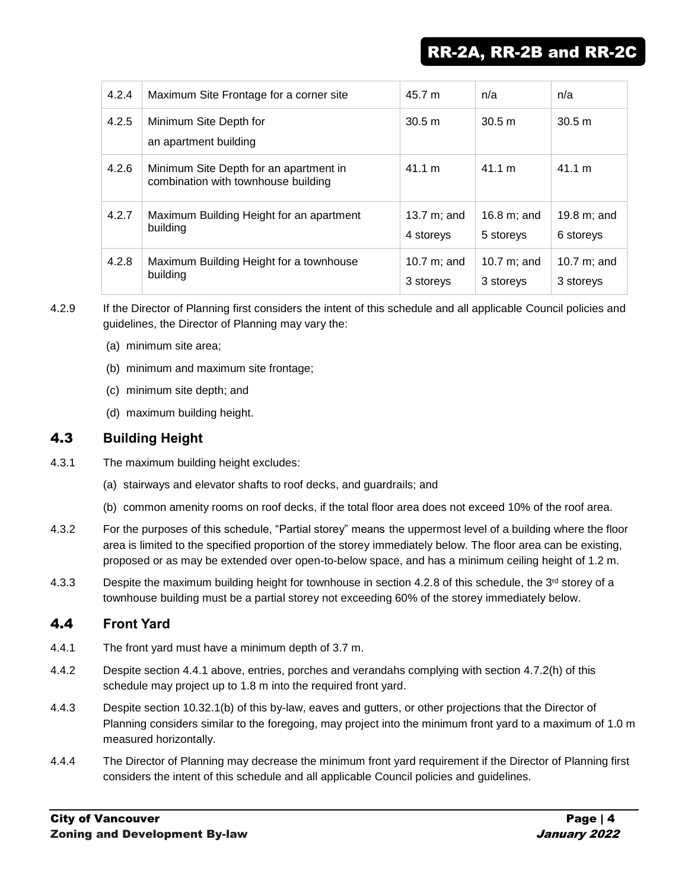| 4.2.4 | Maximum Site Frontage for a corner site                                       | 45.7 m                      | n/a                         | n/a                         |
|-------|-------------------------------------------------------------------------------|-----------------------------|-----------------------------|-----------------------------|
| 4.2.5 | Minimum Site Depth for<br>an apartment building                               | 30.5 m                      | 30.5 m                      | 30.5 m                      |
| 4.2.6 | Minimum Site Depth for an apartment in<br>combination with townhouse building | 41.1 m                      | 41.1 m                      | 41.1 m                      |
| 4.2.7 | Maximum Building Height for an apartment<br>building                          | 13.7 $m$ ; and<br>4 storeys | 16.8 $m:$ and<br>5 storeys  | 19.8 $m$ ; and<br>6 storeys |
| 4.2.8 | Maximum Building Height for a townhouse<br>building                           | 10.7 $m$ ; and<br>3 storeys | 10.7 $m$ ; and<br>3 storeys | 10.7 $m$ ; and<br>3 storeys |

4.2.9 If the Director of Planning first considers the intent of this schedule and all applicable Council policies and guidelines, the Director of Planning may vary the:

- (a) minimum site area;
- (b) minimum and maximum site frontage;
- (c) minimum site depth; and
- (d) maximum building height.

# 4.3 **Building Height**

- 4.3.1 The maximum building height excludes:
	- (a) stairways and elevator shafts to roof decks, and guardrails; and
	- (b) common amenity rooms on roof decks, if the total floor area does not exceed 10% of the roof area.
- 4.3.2 For the purposes of this schedule, "Partial storey" means the uppermost level of a building where the floor area is limited to the specified proportion of the storey immediately below. The floor area can be existing, proposed or as may be extended over open-to-below space, and has a minimum ceiling height of 1.2 m.
- 4.3.3 Despite the maximum building height for townhouse in section 4.2.8 of this schedule, the 3<sup>rd</sup> storey of a townhouse building must be a partial storey not exceeding 60% of the storey immediately below.

# 4.4 **Front Yard**

- 4.4.1 The front yard must have a minimum depth of 3.7 m.
- 4.4.2 Despite section 4.4.1 above, entries, porches and verandahs complying with section 4.7.2(h) of this schedule may project up to 1.8 m into the required front yard.
- 4.4.3 Despite section 10.32.1(b) of this by-law, eaves and gutters, or other projections that the Director of Planning considers similar to the foregoing, may project into the minimum front yard to a maximum of 1.0 m measured horizontally.
- 4.4.4 The Director of Planning may decrease the minimum front yard requirement if the Director of Planning first considers the intent of this schedule and all applicable Council policies and guidelines.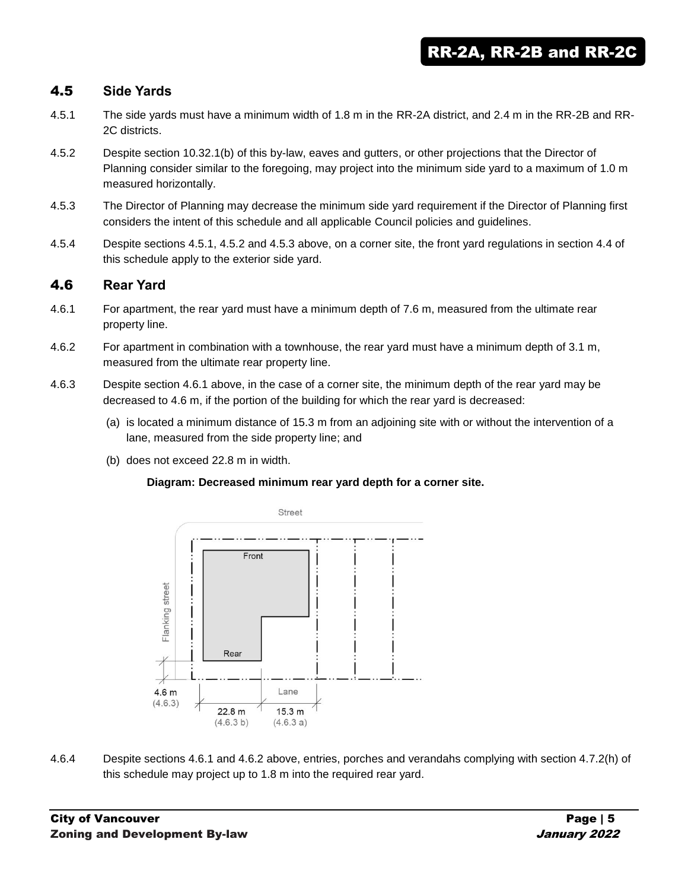# 4.5 **Side Yards**

- 4.5.1 The side yards must have a minimum width of 1.8 m in the RR-2A district, and 2.4 m in the RR-2B and RR-2C districts.
- 4.5.2 Despite section 10.32.1(b) of this by-law, eaves and gutters, or other projections that the Director of Planning consider similar to the foregoing, may project into the minimum side yard to a maximum of 1.0 m measured horizontally.
- 4.5.3 The Director of Planning may decrease the minimum side yard requirement if the Director of Planning first considers the intent of this schedule and all applicable Council policies and guidelines.
- 4.5.4 Despite sections 4.5.1, 4.5.2 and 4.5.3 above, on a corner site, the front yard regulations in section 4.4 of this schedule apply to the exterior side yard.

#### 4.6 **Rear Yard**

- 4.6.1 For apartment, the rear yard must have a minimum depth of 7.6 m, measured from the ultimate rear property line.
- 4.6.2 For apartment in combination with a townhouse, the rear yard must have a minimum depth of 3.1 m, measured from the ultimate rear property line.
- 4.6.3 Despite section 4.6.1 above, in the case of a corner site, the minimum depth of the rear yard may be decreased to 4.6 m, if the portion of the building for which the rear yard is decreased:
	- (a) is located a minimum distance of 15.3 m from an adjoining site with or without the intervention of a lane, measured from the side property line; and
	- (b) does not exceed 22.8 m in width.

#### **Diagram: Decreased minimum rear yard depth for a corner site.**



4.6.4 Despite sections 4.6.1 and 4.6.2 above, entries, porches and verandahs complying with section 4.7.2(h) of this schedule may project up to 1.8 m into the required rear yard.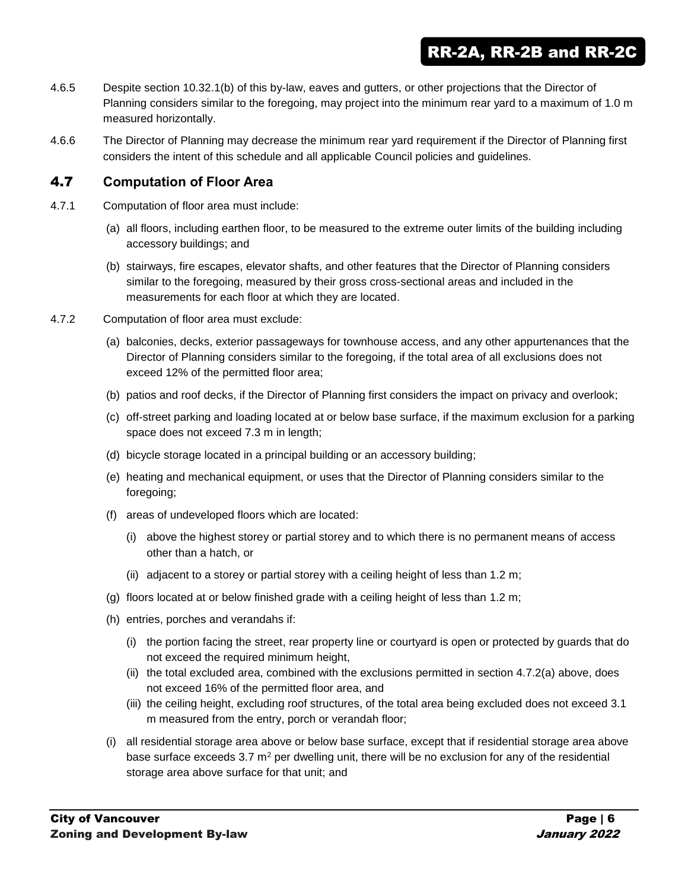- 4.6.5 Despite section 10.32.1(b) of this by-law, eaves and gutters, or other projections that the Director of Planning considers similar to the foregoing, may project into the minimum rear yard to a maximum of 1.0 m measured horizontally.
- 4.6.6 The Director of Planning may decrease the minimum rear yard requirement if the Director of Planning first considers the intent of this schedule and all applicable Council policies and guidelines.

#### 4.7 **Computation of Floor Area**

- 4.7.1 Computation of floor area must include:
	- (a) all floors, including earthen floor, to be measured to the extreme outer limits of the building including accessory buildings; and
	- (b) stairways, fire escapes, elevator shafts, and other features that the Director of Planning considers similar to the foregoing, measured by their gross cross-sectional areas and included in the measurements for each floor at which they are located.
- 4.7.2 Computation of floor area must exclude:
	- (a) balconies, decks, exterior passageways for townhouse access, and any other appurtenances that the Director of Planning considers similar to the foregoing, if the total area of all exclusions does not exceed 12% of the permitted floor area;
	- (b) patios and roof decks, if the Director of Planning first considers the impact on privacy and overlook;
	- (c) off-street parking and loading located at or below base surface, if the maximum exclusion for a parking space does not exceed 7.3 m in length;
	- (d) bicycle storage located in a principal building or an accessory building;
	- (e) heating and mechanical equipment, or uses that the Director of Planning considers similar to the foregoing;
	- (f) areas of undeveloped floors which are located:
		- (i) above the highest storey or partial storey and to which there is no permanent means of access other than a hatch, or
		- (ii) adjacent to a storey or partial storey with a ceiling height of less than 1.2 m;
	- (g) floors located at or below finished grade with a ceiling height of less than 1.2 m;
	- (h) entries, porches and verandahs if:
		- (i) the portion facing the street, rear property line or courtyard is open or protected by guards that do not exceed the required minimum height,
		- (ii) the total excluded area, combined with the exclusions permitted in section 4.7.2(a) above, does not exceed 16% of the permitted floor area, and
		- (iii) the ceiling height, excluding roof structures, of the total area being excluded does not exceed 3.1 m measured from the entry, porch or verandah floor;
	- (i) all residential storage area above or below base surface, except that if residential storage area above base surface exceeds  $3.7 \text{ m}^2$  per dwelling unit, there will be no exclusion for any of the residential storage area above surface for that unit; and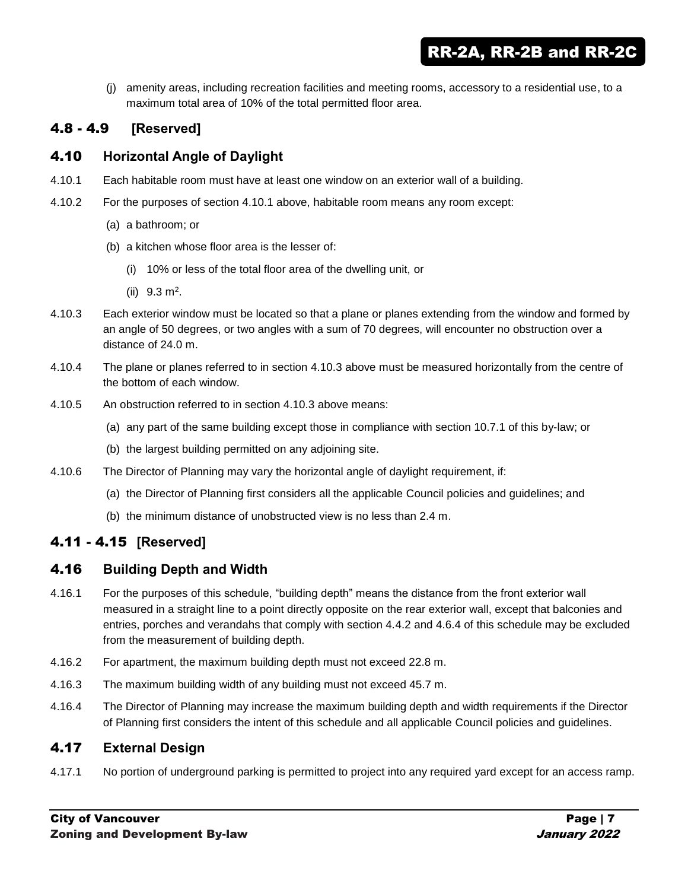RR-2A, RR-2B and RR-2C

(j) amenity areas, including recreation facilities and meeting rooms, accessory to a residential use, to a maximum total area of 10% of the total permitted floor area.

# 4.8 - 4.9 **[Reserved]**

## 4.10 **Horizontal Angle of Daylight**

- 4.10.1 Each habitable room must have at least one window on an exterior wall of a building.
- 4.10.2 For the purposes of section 4.10.1 above, habitable room means any room except:
	- (a) a bathroom; or
	- (b) a kitchen whose floor area is the lesser of:
		- (i) 10% or less of the total floor area of the dwelling unit, or
		- $(ii)$  9.3 m<sup>2</sup>.
- 4.10.3 Each exterior window must be located so that a plane or planes extending from the window and formed by an angle of 50 degrees, or two angles with a sum of 70 degrees, will encounter no obstruction over a distance of 24.0 m.
- 4.10.4 The plane or planes referred to in section 4.10.3 above must be measured horizontally from the centre of the bottom of each window.
- 4.10.5 An obstruction referred to in section 4.10.3 above means:
	- (a) any part of the same building except those in compliance with section 10.7.1 of this by-law; or
	- (b) the largest building permitted on any adjoining site.
- 4.10.6 The Director of Planning may vary the horizontal angle of daylight requirement, if:
	- (a) the Director of Planning first considers all the applicable Council policies and guidelines; and
	- (b) the minimum distance of unobstructed view is no less than 2.4 m.

# 4.11 - 4.15 **[Reserved]**

#### 4.16 **Building Depth and Width**

- 4.16.1 For the purposes of this schedule, "building depth" means the distance from the front exterior wall measured in a straight line to a point directly opposite on the rear exterior wall, except that balconies and entries, porches and verandahs that comply with section 4.4.2 and 4.6.4 of this schedule may be excluded from the measurement of building depth.
- 4.16.2 For apartment, the maximum building depth must not exceed 22.8 m.
- 4.16.3 The maximum building width of any building must not exceed 45.7 m.
- 4.16.4 The Director of Planning may increase the maximum building depth and width requirements if the Director of Planning first considers the intent of this schedule and all applicable Council policies and guidelines.

#### 4.17 **External Design**

4.17.1 No portion of underground parking is permitted to project into any required yard except for an access ramp.